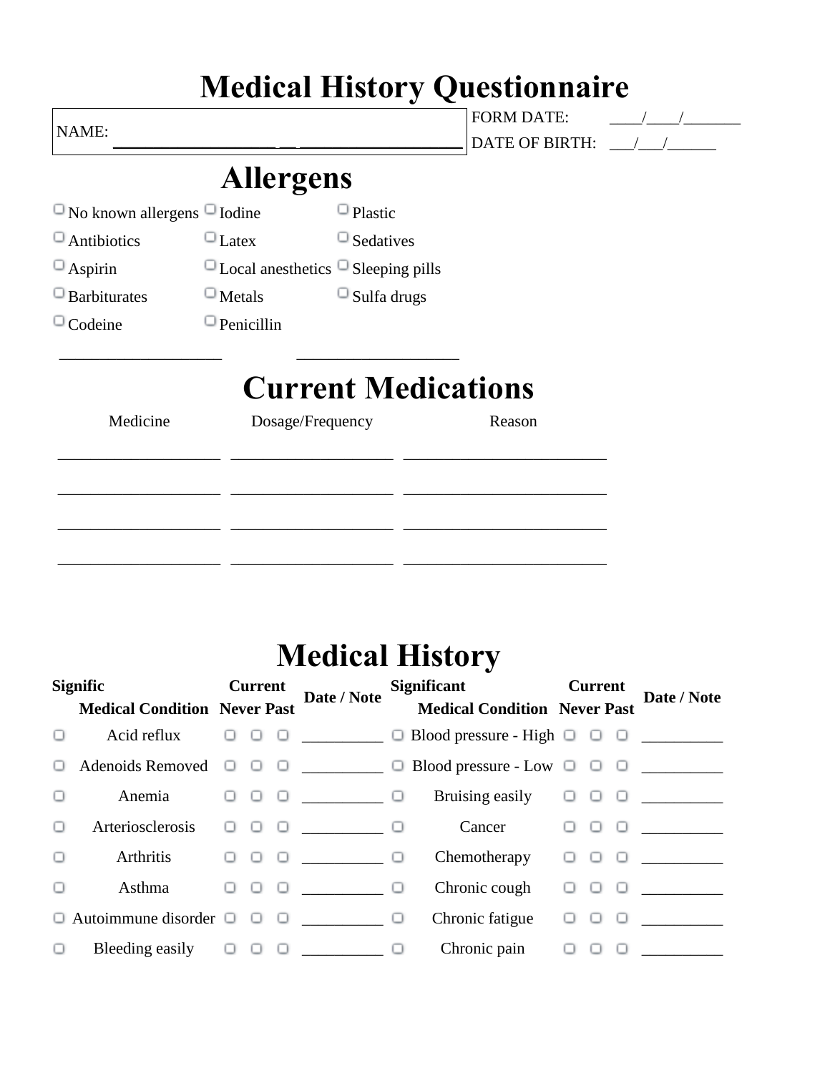|                                         |                   |                                                | <b>Medical History Questionnaire</b>       |  |
|-----------------------------------------|-------------------|------------------------------------------------|--------------------------------------------|--|
| NAME:                                   |                   |                                                | <b>FORM DATE:</b><br><b>DATE OF BIRTH:</b> |  |
|                                         | <b>Allergens</b>  |                                                |                                            |  |
| $\Box$ No known allergens $\Box$ Iodine |                   | $\Box$ Plastic                                 |                                            |  |
| $\Box$ Antibiotics                      | $\Box$ Latex      | $\Box$ Sedatives                               |                                            |  |
| $\Box$ Aspirin                          |                   | $\Box$ Local anesthetics $\Box$ Sleeping pills |                                            |  |
| $\Box$ Barbiturates                     | $\Box$ Metals     | $\Box$ Sulfa drugs                             |                                            |  |
| $\Box$ Codeine                          | $\Box$ Penicillin |                                                |                                            |  |
|                                         |                   | <b>Current Medications</b>                     |                                            |  |
| Medicine                                |                   | Dosage/Frequency                               | Reason                                     |  |
|                                         |                   |                                                |                                            |  |
|                                         |                   |                                                |                                            |  |
|                                         |                   |                                                |                                            |  |

## **Medical History**

\_\_\_\_\_\_\_\_\_\_\_\_\_\_\_\_\_\_\_\_ \_\_\_\_\_\_\_\_\_\_\_\_\_\_\_\_\_\_\_\_ \_\_\_\_\_\_\_\_\_\_\_\_\_\_\_\_\_\_\_\_\_\_\_\_\_

|        | <b>Signific</b><br><b>Medical Condition Never Past</b> | <b>Current</b> | Date / Note | Significant Current<br>Medical Condition Never Past                                                  |  | Date / Note                                               |
|--------|--------------------------------------------------------|----------------|-------------|------------------------------------------------------------------------------------------------------|--|-----------------------------------------------------------|
|        |                                                        |                |             |                                                                                                      |  |                                                           |
| U      |                                                        |                |             | Adenoids Removed $\Box$ $\Box$ $\Box$ $\Box$ $\Box$ $\Box$ Blood pressure - Low $\Box$ $\Box$ $\Box$ |  |                                                           |
|        | $\Box$<br>Anemia                                       |                |             |                                                                                                      |  |                                                           |
|        |                                                        |                |             | Arteriosclerosis $\Box$ $\Box$ $\Box$ $\Box$ $\Box$ $\Box$ Cancer $\Box$ $\Box$ $\Box$               |  |                                                           |
| $\Box$ | Arthritis                                              |                | 000 10      | Chemotherapy $\Box$ $\Box$ $\Box$                                                                    |  |                                                           |
| 0      | Asthma                                                 |                |             | Chronic cough                                                                                        |  | $\begin{array}{c} \circ \\ \circ \circ \circ \end{array}$ |
|        | $\Box$ Autoimmune disorder $\Box$ $\Box$ $\Box$        |                |             | Chronic fatigue $\Box$ $\Box$                                                                        |  |                                                           |
|        |                                                        |                |             |                                                                                                      |  |                                                           |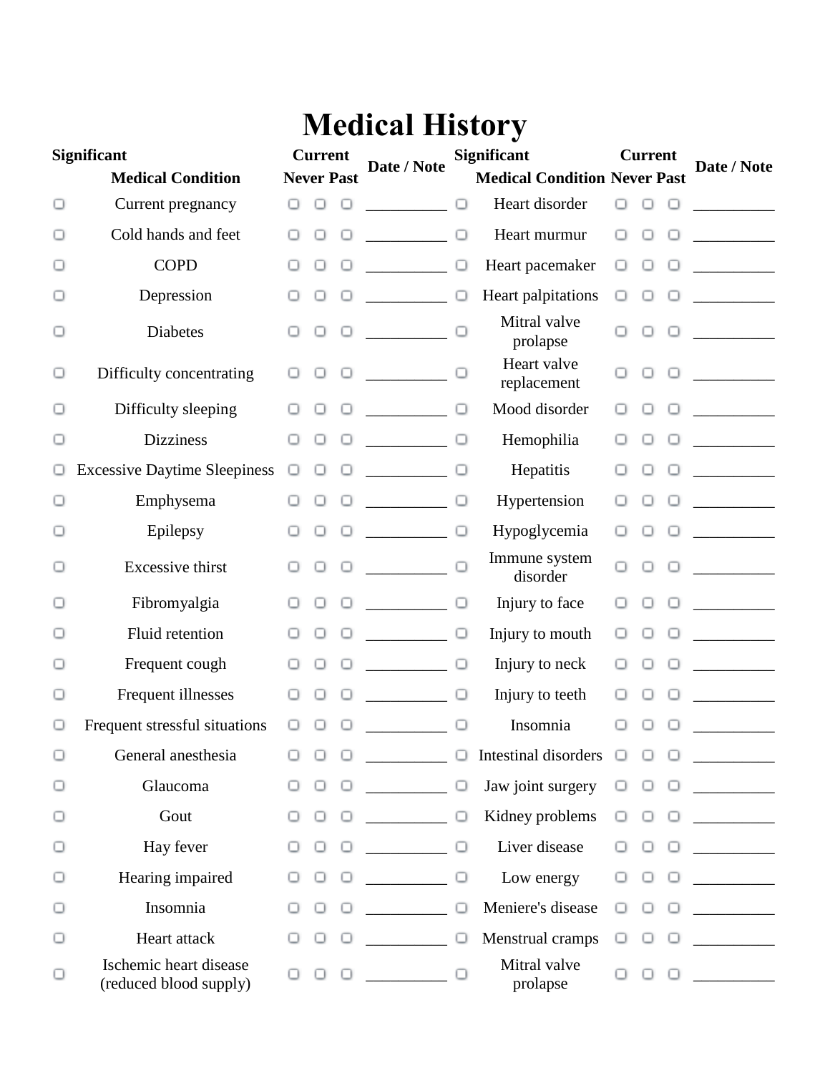## **Medical History**

| <b>Significant</b> |                                                  | <b>Current</b> |   |                   | Date / Note                                                                                               | <b>Significant</b> |                                     |        | <b>Current</b> |         | Date / Note                                                                                                                                                                                                                                                                                      |
|--------------------|--------------------------------------------------|----------------|---|-------------------|-----------------------------------------------------------------------------------------------------------|--------------------|-------------------------------------|--------|----------------|---------|--------------------------------------------------------------------------------------------------------------------------------------------------------------------------------------------------------------------------------------------------------------------------------------------------|
|                    | <b>Medical Condition</b>                         |                |   | <b>Never Past</b> |                                                                                                           |                    | <b>Medical Condition Never Past</b> |        |                |         |                                                                                                                                                                                                                                                                                                  |
| ο                  | Current pregnancy                                |                | ο | $\circ$           |                                                                                                           | о                  | Heart disorder                      | ο      |                |         |                                                                                                                                                                                                                                                                                                  |
| ◡                  | Cold hands and feet                              |                | ◡ | ο                 | <u> 1990 - Jan Barnett, p</u>                                                                             | $\Box$             | Heart murmur                        | O      |                |         |                                                                                                                                                                                                                                                                                                  |
|                    | <b>COPD</b>                                      |                | ο |                   |                                                                                                           | $\Box$             | Heart pacemaker                     | о      | ο              |         | <u> Liberal State</u>                                                                                                                                                                                                                                                                            |
| ◡                  | Depression                                       |                | ◡ |                   |                                                                                                           | $\cup$             | Heart palpitations                  | ο      | ο              | $\circ$ |                                                                                                                                                                                                                                                                                                  |
| о                  | Diabetes                                         |                | ο | $\Box$            |                                                                                                           |                    | Mitral valve<br>prolapse            |        | ο              | $\Box$  | <u> 1999 - John Barnett, franc</u>                                                                                                                                                                                                                                                               |
| o                  | Difficulty concentrating                         |                | ο | о                 | $\sim$ 000 $\sim$ 000 $\sim$                                                                              |                    | Heart valve<br>replacement          | □      | ο              |         | $\frac{1}{2}$ . The continuum of $\frac{1}{2}$ , $\frac{1}{2}$ , $\frac{1}{2}$ , $\frac{1}{2}$ , $\frac{1}{2}$ , $\frac{1}{2}$ , $\frac{1}{2}$ , $\frac{1}{2}$ , $\frac{1}{2}$ , $\frac{1}{2}$ , $\frac{1}{2}$ , $\frac{1}{2}$ , $\frac{1}{2}$ , $\frac{1}{2}$ , $\frac{1}{2}$ , $\frac{1}{2}$ , |
| ◡                  | Difficulty sleeping                              |                |   | $\circ$           | <u> Alban Maria (</u>                                                                                     | $\Box$             | Mood disorder                       |        |                |         |                                                                                                                                                                                                                                                                                                  |
| O                  | <b>Dizziness</b>                                 |                |   |                   |                                                                                                           | $\cup$             | Hemophilia                          |        |                |         |                                                                                                                                                                                                                                                                                                  |
| U                  | <b>Excessive Daytime Sleepiness</b>              | $\circ$        | ο | $\circ$           | $\overline{\phantom{a}}$ . $\overline{\phantom{a}}$ . $\overline{\phantom{a}}$ . $\overline{\phantom{a}}$ |                    | Hepatitis                           |        |                |         |                                                                                                                                                                                                                                                                                                  |
| ο                  | Emphysema                                        |                |   | ο                 | <u> 1999 - John Barnett, fransk politiker</u>                                                             | ο                  | Hypertension                        |        |                |         |                                                                                                                                                                                                                                                                                                  |
| ◡                  | Epilepsy                                         |                |   | $\circ$           |                                                                                                           | ο                  | Hypoglycemia                        |        |                |         |                                                                                                                                                                                                                                                                                                  |
| O                  | <b>Excessive thirst</b>                          |                | ο | о                 | $\overline{\phantom{a}}$ . The contract of $\overline{\phantom{a}}$                                       |                    | Immune system<br>disorder           | Ω      | O              | $\circ$ | <u> 1990 - Johann Barnett, f</u>                                                                                                                                                                                                                                                                 |
| □                  | Fibromyalgia                                     |                | ο | о                 | <u> 1999 - Jan Jawa</u>                                                                                   | $\cup$             | Injury to face                      |        |                | ο       |                                                                                                                                                                                                                                                                                                  |
| ◡                  | Fluid retention                                  |                |   | $\cup$            | $\overline{\phantom{a}}$ . $\overline{\phantom{a}}$ . $\overline{\phantom{a}}$ . $\overline{\phantom{a}}$ |                    | Injury to mouth                     |        |                |         | $\mathcal{L} = \{ \mathcal{L} \}$                                                                                                                                                                                                                                                                |
| ο                  | Frequent cough                                   |                | ο | $\cup$            | $\overline{\phantom{a}}$                                                                                  | $\Box$             | Injury to neck                      |        |                |         | <u> Liberal State</u>                                                                                                                                                                                                                                                                            |
| o                  | Frequent illnesses                               |                | ο | ο                 | <u> Alban Maria (</u>                                                                                     | ο                  | Injury to teeth                     |        |                |         |                                                                                                                                                                                                                                                                                                  |
|                    | Frequent stressful situations                    |                |   |                   |                                                                                                           | ο                  | Insomnia                            |        |                |         |                                                                                                                                                                                                                                                                                                  |
| Ο                  | General anesthesia                               |                |   |                   |                                                                                                           |                    | $\Box$ Intestinal disorders         | $\cup$ | $\Box$         | $\Box$  | <u> 1999 - Jan Jawa</u>                                                                                                                                                                                                                                                                          |
| ο                  | Glaucoma                                         |                | о | $\cup$            |                                                                                                           | о                  | Jaw joint surgery                   | ο      |                | ο       | <u> 1990 - Jan Jawa</u>                                                                                                                                                                                                                                                                          |
| ο                  | Gout                                             |                | 0 | ο                 |                                                                                                           | о                  | Kidney problems                     | ο      | u              |         |                                                                                                                                                                                                                                                                                                  |
| ο                  | Hay fever                                        |                | 0 | ο                 |                                                                                                           | Ο                  | Liver disease                       |        |                |         |                                                                                                                                                                                                                                                                                                  |
| ο                  | Hearing impaired                                 |                | ◡ | $\Box$            |                                                                                                           | ο                  | Low energy                          |        |                |         |                                                                                                                                                                                                                                                                                                  |
| ο                  | Insomnia                                         |                | ◡ |                   |                                                                                                           | ο                  | Meniere's disease                   | ο      |                | ο       |                                                                                                                                                                                                                                                                                                  |
| ο                  | Heart attack                                     |                |   |                   |                                                                                                           | ο                  | Menstrual cramps                    | ◡      |                |         |                                                                                                                                                                                                                                                                                                  |
| ο                  | Ischemic heart disease<br>(reduced blood supply) |                |   | $\circ$ $\circ$   |                                                                                                           | Ω                  | Mitral valve<br>prolapse            |        | $\Box$         | 0       |                                                                                                                                                                                                                                                                                                  |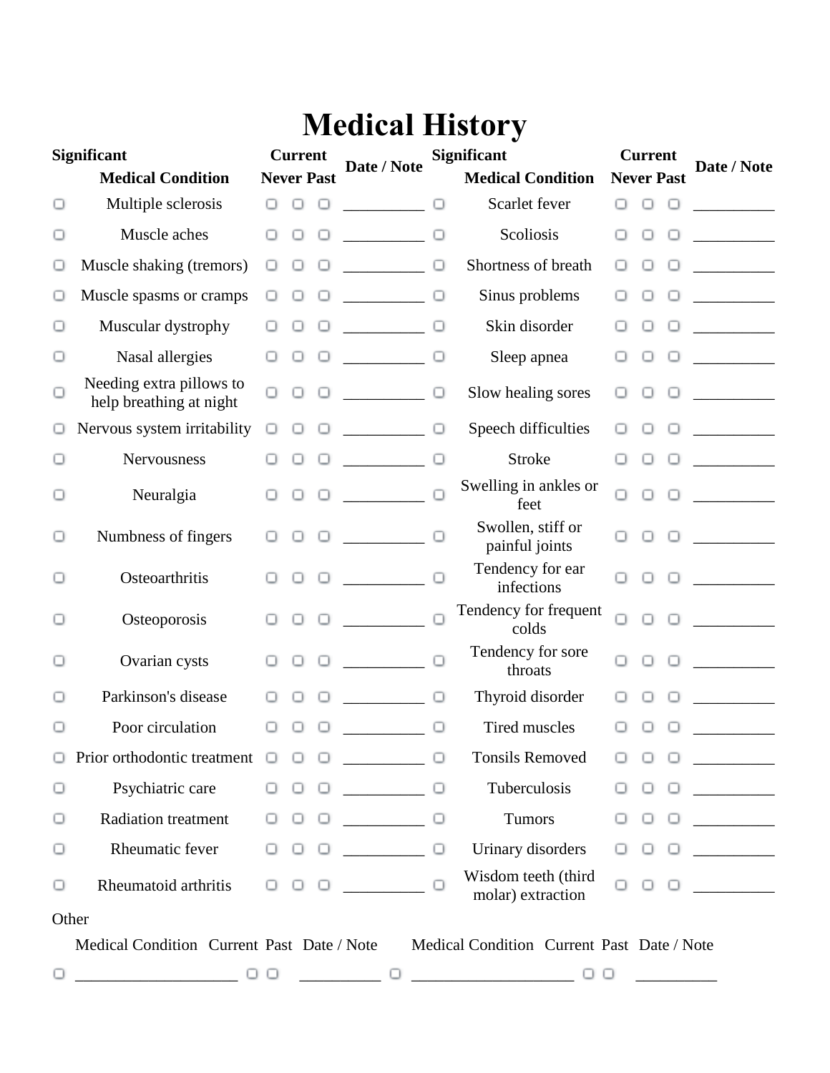## **Medical History**

| <b>Significant</b><br><b>Medical Condition</b> |                                                     | <b>Current</b><br><b>Never Past</b> |        |        | Date / Note                                                                                                                                                                                                                                                                                                                                                                                                                                                                                                                                           | <b>Significant</b><br><b>Medical Condition</b> |                                                         | <b>Current</b><br><b>Never Past</b> |        |        | Date / Note                                                                                                                                                                                                                                                                                                                                                                                                                                                                       |
|------------------------------------------------|-----------------------------------------------------|-------------------------------------|--------|--------|-------------------------------------------------------------------------------------------------------------------------------------------------------------------------------------------------------------------------------------------------------------------------------------------------------------------------------------------------------------------------------------------------------------------------------------------------------------------------------------------------------------------------------------------------------|------------------------------------------------|---------------------------------------------------------|-------------------------------------|--------|--------|-----------------------------------------------------------------------------------------------------------------------------------------------------------------------------------------------------------------------------------------------------------------------------------------------------------------------------------------------------------------------------------------------------------------------------------------------------------------------------------|
| ◡                                              | Multiple sclerosis                                  |                                     | $\Box$ | ο      |                                                                                                                                                                                                                                                                                                                                                                                                                                                                                                                                                       | $\Box$                                         | Scarlet fever                                           | $\Box$                              | п      |        |                                                                                                                                                                                                                                                                                                                                                                                                                                                                                   |
| ο                                              | Muscle aches                                        |                                     | ο      | 0      |                                                                                                                                                                                                                                                                                                                                                                                                                                                                                                                                                       | $\Box$                                         | Scoliosis                                               |                                     | ο      | ο      |                                                                                                                                                                                                                                                                                                                                                                                                                                                                                   |
| O                                              | Muscle shaking (tremors)                            |                                     | Ο      |        |                                                                                                                                                                                                                                                                                                                                                                                                                                                                                                                                                       | $\Box$                                         | Shortness of breath                                     | U                                   | ο      | U      |                                                                                                                                                                                                                                                                                                                                                                                                                                                                                   |
| ο                                              | Muscle spasms or cramps                             | U                                   |        |        | $\begin{tabular}{ccccc} \multicolumn{2}{c }{\textbf{1} & \textbf{2} & \textbf{3} & \textbf{4} & \textbf{5} & \textbf{5} & \textbf{6} & \textbf{7} & \textbf{8} & \textbf{9} & \textbf{10} & \textbf{10} & \textbf{10} & \textbf{10} & \textbf{10} & \textbf{10} & \textbf{10} & \textbf{10} & \textbf{10} & \textbf{10} & \textbf{10} & \textbf{10} & \textbf{10} & \textbf{10} & \textbf{10} & \textbf{10} & \textbf$                                                                                                                                | $\Box$                                         | Sinus problems                                          |                                     | ◡      | ο      | <u> a shekara ta 1999 a shekara ta 1991 a shekara ta 1991 a shekara ta 1991 a shekara ta 1991 a shekara ta 1991 a</u>                                                                                                                                                                                                                                                                                                                                                             |
| ◡                                              | Muscular dystrophy                                  |                                     |        |        | $\sim$ $\sim$ $\sim$ $\sim$ $\sim$                                                                                                                                                                                                                                                                                                                                                                                                                                                                                                                    |                                                | Skin disorder                                           |                                     |        | U      |                                                                                                                                                                                                                                                                                                                                                                                                                                                                                   |
| ο                                              | Nasal allergies                                     |                                     |        |        | <u> Liberal Communication</u>                                                                                                                                                                                                                                                                                                                                                                                                                                                                                                                         | $\cup$                                         | Sleep apnea                                             |                                     | ο      | ο      |                                                                                                                                                                                                                                                                                                                                                                                                                                                                                   |
| ο                                              | Needing extra pillows to<br>help breathing at night |                                     | ο      | $\Box$ | $\label{eq:2} \begin{array}{ll} \mathcal{L}_{\text{max}}(\mathcal{L}_{\text{max}}) = \mathcal{L}_{\text{max}}(\mathcal{L}_{\text{max}}) \end{array}$                                                                                                                                                                                                                                                                                                                                                                                                  | ο                                              | Slow healing sores                                      | ο                                   | U      | $\Box$ | $\begin{array}{ccccccccccccc} \multicolumn{2}{c }{\multicolumn{2}{c }{\multicolumn{2}{c }{\multicolumn{2}{c}{\multicolumn{2}{c}{\multicolumn{2}{c}{\multicolumn{2}{c}{\multicolumn{2}{c}{\multicolumn{2}{c}{\multicolumn{2}{c}{\multicolumn{2}{c}{\multicolumn{2}{c}{\multicolumn{2}{c}{\multicolumn{2}{c}{\multicolumn{2}{c}{\textbf{1}}}}}}}}& \multicolumn{2}{c}{\multicolumn{2}{c}{\multicolumn{2}{c}{\textbf{1}}}}& \multicolumn{2}{c}{\multicolumn{2}{c}{\textbf{2}}&\text$ |
| ◡                                              | Nervous system irritability                         |                                     |        |        | $\begin{array}{c} \begin{array}{c} \begin{array}{c} \begin{array}{c} \end{array} \\ \begin{array}{c} \end{array} \end{array} \end{array} \end{array} \end{array} \end{array} \begin{array}{c} \begin{array}{c} \begin{array}{c} \end{array} \\ \begin{array}{c} \end{array} \end{array} \end{array} \end{array} \begin{array}{c} \begin{array}{c} \begin{array}{c} \end{array} \\ \begin{array}{c} \end{array} \end{array} \end{array} \begin{array}{c} \begin{array}{c} \end{array} \end{array} \end{array} \begin{array}{c} \begin{array}{c} \end{$ | $\Box$                                         | Speech difficulties                                     |                                     | ◡      | $\cup$ |                                                                                                                                                                                                                                                                                                                                                                                                                                                                                   |
| ο                                              | Nervousness                                         |                                     | ◡      |        |                                                                                                                                                                                                                                                                                                                                                                                                                                                                                                                                                       | $\Box$                                         | <b>Stroke</b>                                           |                                     | u      | $\Box$ |                                                                                                                                                                                                                                                                                                                                                                                                                                                                                   |
| ο                                              | Neuralgia                                           |                                     |        | $\Box$ |                                                                                                                                                                                                                                                                                                                                                                                                                                                                                                                                                       | $\Box$                                         | Swelling in ankles or<br>feet                           |                                     | $\Box$ | $\Box$ | $\overline{\phantom{a}}$                                                                                                                                                                                                                                                                                                                                                                                                                                                          |
| ο                                              | Numbness of fingers                                 |                                     | ο      | $\Box$ |                                                                                                                                                                                                                                                                                                                                                                                                                                                                                                                                                       | $\Box$                                         | Swollen, stiff or<br>painful joints                     | Ω                                   | $\cup$ |        | $\Box$ . The set of $\Box$                                                                                                                                                                                                                                                                                                                                                                                                                                                        |
| u                                              | Osteoarthritis                                      |                                     |        | $\Box$ | <u> 1999 - Jan Jan Jawa</u>                                                                                                                                                                                                                                                                                                                                                                                                                                                                                                                           | $\Box$                                         | Tendency for ear<br>infections                          |                                     |        | 0      | $\begin{tabular}{ccccc} \multicolumn{2}{c }{\textbf{1} & \textbf{2} & \textbf{3} & \textbf{4} & \textbf{5} & \textbf{5} & \textbf{6} & \textbf{6} & \textbf{7} & \textbf{8} & \textbf{8} & \textbf{9} & \textbf{10} & \textbf{10} & \textbf{10} & \textbf{10} & \textbf{10} & \textbf{10} & \textbf{10} & \textbf{10} & \textbf{10} & \textbf{10} & \textbf{10} & \textbf{10} & \textbf{10} & \textbf{10} & \textbf{1$                                                            |
| ◡                                              | Osteoporosis                                        |                                     |        | $\Box$ |                                                                                                                                                                                                                                                                                                                                                                                                                                                                                                                                                       |                                                | Tendency for frequent<br>colds                          |                                     | Ω      | $\Box$ |                                                                                                                                                                                                                                                                                                                                                                                                                                                                                   |
| о                                              | Ovarian cysts                                       |                                     |        |        | $\begin{tabular}{ccccc} \multicolumn{2}{c }{\textbf{1} & \multicolumn{2}{c }{\textbf{2} & \multicolumn{2}{c }{\textbf{3} & \multicolumn{2}{c }{\textbf{4} & \multicolumn{2}{c }{\textbf{5} & \multicolumn{2}{c }{\textbf{6} & \multicolumn{2}{c }{\textbf{6} & \multicolumn{2}{c }{\textbf{6} & \multicolumn{2}{c }{\textbf{6} & \multicolumn{2}{c }{\textbf{6} & \multicolumn{2}{c }{\textbf{6} & \multicolumn{2}{c }{\textbf{6} & \multicolumn{2}{$                                                                                                 | $\Box$                                         | Tendency for sore<br>throats                            |                                     |        |        |                                                                                                                                                                                                                                                                                                                                                                                                                                                                                   |
| ◡                                              | Parkinson's disease                                 |                                     |        |        |                                                                                                                                                                                                                                                                                                                                                                                                                                                                                                                                                       | $\cup$                                         | Thyroid disorder                                        |                                     |        |        |                                                                                                                                                                                                                                                                                                                                                                                                                                                                                   |
| ◡                                              | Poor circulation                                    |                                     |        |        |                                                                                                                                                                                                                                                                                                                                                                                                                                                                                                                                                       | ο                                              | <b>Tired muscles</b>                                    |                                     |        |        |                                                                                                                                                                                                                                                                                                                                                                                                                                                                                   |
| о                                              | Prior orthodontic treatment $\Box$                  |                                     | о      | ο      |                                                                                                                                                                                                                                                                                                                                                                                                                                                                                                                                                       |                                                | <b>Tonsils Removed</b>                                  | ο                                   | ο      | ο      | $\overline{\phantom{a}}$                                                                                                                                                                                                                                                                                                                                                                                                                                                          |
| ο                                              | Psychiatric care                                    | o                                   | ◡      | $\Box$ |                                                                                                                                                                                                                                                                                                                                                                                                                                                                                                                                                       | ο                                              | Tuberculosis                                            | ◡                                   | ο      | ο      |                                                                                                                                                                                                                                                                                                                                                                                                                                                                                   |
| ο                                              | <b>Radiation treatment</b>                          |                                     | ο      | ◡      |                                                                                                                                                                                                                                                                                                                                                                                                                                                                                                                                                       | ο                                              | Tumors                                                  | U                                   | U      | U      |                                                                                                                                                                                                                                                                                                                                                                                                                                                                                   |
| о                                              | Rheumatic fever                                     |                                     | U      | $\cup$ |                                                                                                                                                                                                                                                                                                                                                                                                                                                                                                                                                       | $\Box$                                         | Urinary disorders                                       |                                     | ◡      | $\Box$ | <u>and a strong and a strong strong and a strong strong and a strong strong strong and a strong strong strong and a strong strong strong strong strong strong strong strong strong strong strong strong strong strong strong str</u>                                                                                                                                                                                                                                              |
| о                                              | Rheumatoid arthritis                                | o                                   | ο      |        |                                                                                                                                                                                                                                                                                                                                                                                                                                                                                                                                                       |                                                | Wisdom teeth (third<br>molar) extraction                |                                     | Ω      | $\Box$ |                                                                                                                                                                                                                                                                                                                                                                                                                                                                                   |
| Other                                          |                                                     |                                     |        |        |                                                                                                                                                                                                                                                                                                                                                                                                                                                                                                                                                       |                                                |                                                         |                                     |        |        |                                                                                                                                                                                                                                                                                                                                                                                                                                                                                   |
|                                                | Medical Condition Current Past Date / Note          |                                     |        |        |                                                                                                                                                                                                                                                                                                                                                                                                                                                                                                                                                       |                                                | Medical Condition Current Past Date / Note              |                                     |        |        |                                                                                                                                                                                                                                                                                                                                                                                                                                                                                   |
| $\cup$                                         |                                                     | 0 O                                 |        |        |                                                                                                                                                                                                                                                                                                                                                                                                                                                                                                                                                       |                                                | u<br><u> 1989 - Johann Barbara, martxa a shekara 19</u> | ◡                                   |        |        |                                                                                                                                                                                                                                                                                                                                                                                                                                                                                   |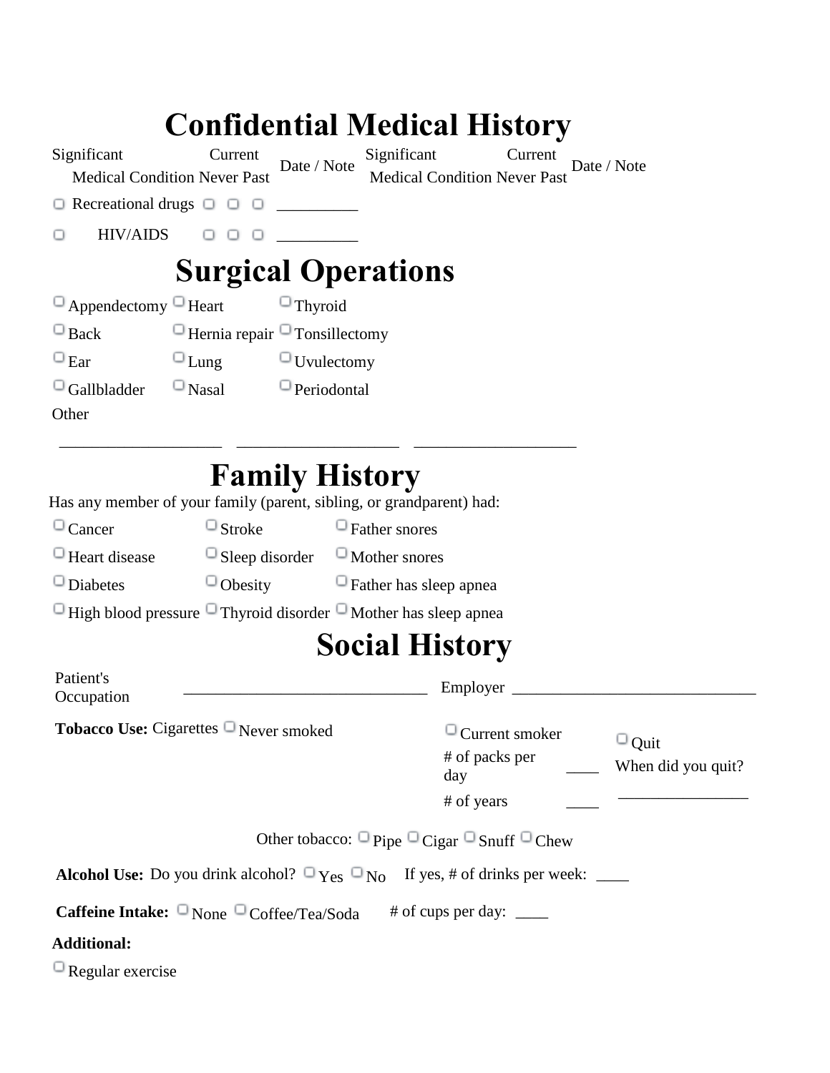|                                                     |                                                        |                       | <b>Confidential Medical History</b>                                                               |                        |                                            |
|-----------------------------------------------------|--------------------------------------------------------|-----------------------|---------------------------------------------------------------------------------------------------|------------------------|--------------------------------------------|
| Significant                                         | Current<br><b>Medical Condition Never Past</b>         | Date / Note           | Significant<br><b>Medical Condition Never Past</b>                                                | Current<br>Date / Note |                                            |
| $\Box$ Recreational drugs $\Box$ $\Box$             |                                                        |                       |                                                                                                   |                        |                                            |
| <b>HIV/AIDS</b>                                     | $\begin{array}{ccc} \circ & \circ & \circ \end{array}$ |                       |                                                                                                   |                        |                                            |
|                                                     | <b>Surgical Operations</b>                             |                       |                                                                                                   |                        |                                            |
| $\Box$ Appendectomy $\Box$ Heart                    |                                                        | $\Box$ Thyroid        |                                                                                                   |                        |                                            |
| $\Box$ Back                                         | $\Box$ Hernia repair $\Box$ Tonsillectomy              |                       |                                                                                                   |                        |                                            |
| $\Box$ Ear                                          | $\Box$ Lung                                            | $\Box$ Uvulectomy     |                                                                                                   |                        |                                            |
| $\Box$ Gallbladder                                  | $\Box$ Nasal                                           | $\Box$ Periodontal    |                                                                                                   |                        |                                            |
| Other                                               |                                                        |                       |                                                                                                   |                        |                                            |
|                                                     |                                                        | <b>Family History</b> |                                                                                                   |                        |                                            |
|                                                     |                                                        |                       | Has any member of your family (parent, sibling, or grandparent) had:                              |                        |                                            |
| $\Box$ Cancer                                       | $\Box$ Stroke                                          |                       | $\Box$ Father snores                                                                              |                        |                                            |
| $\Box$ Heart disease                                |                                                        |                       | $\Box$ Sleep disorder $\Box$ Mother snores                                                        |                        |                                            |
| $\Box$ Diabetes                                     |                                                        |                       | $\Box$ Obesity $\Box$ Father has sleep apnea                                                      |                        |                                            |
|                                                     |                                                        |                       | $\Box$ High blood pressure $\Box$ Thyroid disorder $\Box$ Mother has sleep apnea                  |                        |                                            |
|                                                     |                                                        |                       | <b>Social History</b>                                                                             |                        |                                            |
| Patient's<br>Occupation                             |                                                        |                       | Employer                                                                                          |                        |                                            |
| Tobacco Use: Cigarettes <sup>O</sup> Never smoked   |                                                        |                       | # of packs per<br>day<br># of years                                                               | $\Box$ Current smoker  | $\Box_{\text{Quit}}$<br>When did you quit? |
|                                                     |                                                        |                       |                                                                                                   |                        |                                            |
|                                                     |                                                        |                       | Other tobacco: $\Box$ Pipe $\Box$ Cigar $\Box$ Snuff $\Box$ Chew                                  |                        |                                            |
|                                                     |                                                        |                       | <b>Alcohol Use:</b> Do you drink alcohol? $\Box$ Yes $\Box$ No If yes, # of drinks per week: ____ |                        |                                            |
| Caffeine Intake: $\Box$ None $\Box$ Coffee/Tea/Soda |                                                        |                       | # of cups per day: $\frac{ }{ }$                                                                  |                        |                                            |
| <b>Additional:</b>                                  |                                                        |                       |                                                                                                   |                        |                                            |
| $\Box$ Regular exercise                             |                                                        |                       |                                                                                                   |                        |                                            |